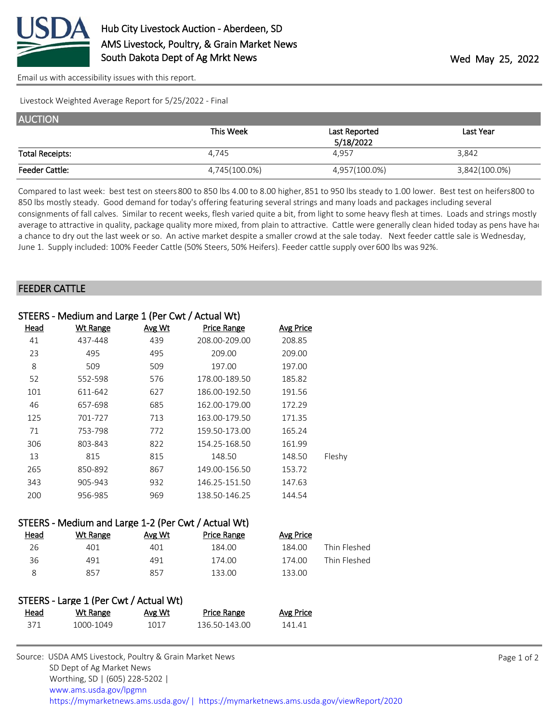

[Email us with accessibility issues with this report.](mailto:mars@ams.usda.gov?subject=508%20issue)

Livestock Weighted Average Report for 5/25/2022 - Final

| <b>AUCTION</b>         |               |               |               |
|------------------------|---------------|---------------|---------------|
|                        | This Week     | Last Reported | Last Year     |
|                        |               | 5/18/2022     |               |
| <b>Total Receipts:</b> | 4.745         | 4.957         | 3,842         |
| <b>Feeder Cattle:</b>  | 4,745(100.0%) | 4,957(100.0%) | 3,842(100.0%) |

Compared to last week: best test on steers 800 to 850 lbs 4.00 to 8.00 higher, 851 to 950 lbs steady to 1.00 lower. Best test on heifers 800 to 850 lbs mostly steady. Good demand for today's offering featuring several strings and many loads and packages including several consignments of fall calves. Similar to recent weeks, flesh varied quite a bit, from light to some heavy flesh at times. Loads and strings mostly average to attractive in quality, package quality more mixed, from plain to attractive. Cattle were generally clean hided today as pens have had a chance to dry out the last week or so. An active market despite a smaller crowd at the sale today. Next feeder cattle sale is Wednesday, June 1. Supply included: 100% Feeder Cattle (50% Steers, 50% Heifers). Feeder cattle supply over 600 lbs was 92%.

## FEEDER CATTLE

|      | STEERS - Medium and Large 1 (Per Cwt / Actual Wt) |        |                    |                  |        |
|------|---------------------------------------------------|--------|--------------------|------------------|--------|
| Head | <b>Wt Range</b>                                   | Avg Wt | <b>Price Range</b> | <b>Avg Price</b> |        |
| 41   | 437-448                                           | 439    | 208.00-209.00      | 208.85           |        |
| 23   | 495                                               | 495    | 209.00             | 209.00           |        |
| 8    | 509                                               | 509    | 197.00             | 197.00           |        |
| 52   | 552-598                                           | 576    | 178.00-189.50      | 185.82           |        |
| 101  | 611-642                                           | 627    | 186.00-192.50      | 191.56           |        |
| 46   | 657-698                                           | 685    | 162.00-179.00      | 172.29           |        |
| 125  | 701-727                                           | 713    | 163.00-179.50      | 171.35           |        |
| 71   | 753-798                                           | 772    | 159.50-173.00      | 165.24           |        |
| 306  | 803-843                                           | 822    | 154.25-168.50      | 161.99           |        |
| 13   | 815                                               | 815    | 148.50             | 148.50           | Fleshy |
| 265  | 850-892                                           | 867    | 149.00-156.50      | 153.72           |        |
| 343  | 905-943                                           | 932    | 146.25-151.50      | 147.63           |        |
| 200  | 956-985                                           | 969    | 138.50-146.25      | 144.54           |        |
|      |                                                   |        |                    |                  |        |

## STEERS - Medium and Large 1-2 (Per Cwt / Actual Wt)

| <u>Head</u> | Wt Range | Avg Wt | Price Range | Avg Price |              |
|-------------|----------|--------|-------------|-----------|--------------|
| 26          | 401      | 401    | 184.00      | 184.00    | Thin Fleshed |
| 36          | 491      | 491    | 174.00      | 174.00    | Thin Fleshed |
|             | 857      | 857    | 133.00      | 133.00    |              |

| STEERS - Large 1 (Per Cwt / Actual Wt) |           |        |                    |           |
|----------------------------------------|-----------|--------|--------------------|-----------|
| Head                                   | Wt Range  | Avg Wt | <b>Price Range</b> | Avg Price |
| 371                                    | 1000-1049 | 1017   | 136.50-143.00      | 141.41    |